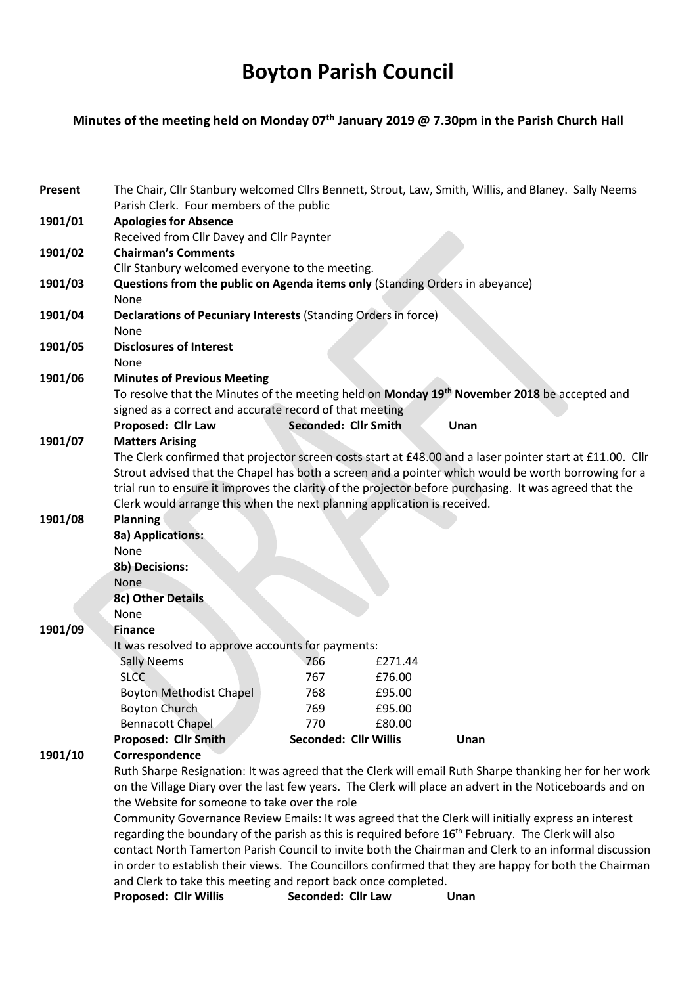# Boyton Parish Council

## Minutes of the meeting held on Monday 07<sup>th</sup> January 2019 @ 7.30pm in the Parish Church Hall

| Present | The Chair, Cllr Stanbury welcomed Cllrs Bennett, Strout, Law, Smith, Willis, and Blaney. Sally Neems<br>Parish Clerk. Four members of the public                                                                                                        |                              |         |      |  |
|---------|---------------------------------------------------------------------------------------------------------------------------------------------------------------------------------------------------------------------------------------------------------|------------------------------|---------|------|--|
| 1901/01 | <b>Apologies for Absence</b>                                                                                                                                                                                                                            |                              |         |      |  |
| 1901/02 | Received from Cllr Davey and Cllr Paynter<br><b>Chairman's Comments</b>                                                                                                                                                                                 |                              |         |      |  |
|         | Cllr Stanbury welcomed everyone to the meeting.                                                                                                                                                                                                         |                              |         |      |  |
| 1901/03 | Questions from the public on Agenda items only (Standing Orders in abeyance)                                                                                                                                                                            |                              |         |      |  |
|         | None                                                                                                                                                                                                                                                    |                              |         |      |  |
| 1901/04 | Declarations of Pecuniary Interests (Standing Orders in force)                                                                                                                                                                                          |                              |         |      |  |
|         | None                                                                                                                                                                                                                                                    |                              |         |      |  |
| 1901/05 | <b>Disclosures of Interest</b>                                                                                                                                                                                                                          |                              |         |      |  |
|         | None                                                                                                                                                                                                                                                    |                              |         |      |  |
| 1901/06 | <b>Minutes of Previous Meeting</b><br>To resolve that the Minutes of the meeting held on Monday 19 <sup>th</sup> November 2018 be accepted and<br>signed as a correct and accurate record of that meeting<br>Seconded: Cllr Smith<br>Proposed: Cllr Law |                              |         |      |  |
|         |                                                                                                                                                                                                                                                         |                              |         |      |  |
|         |                                                                                                                                                                                                                                                         |                              |         |      |  |
| 1901/07 | <b>Matters Arising</b>                                                                                                                                                                                                                                  |                              |         | Unan |  |
|         | The Clerk confirmed that projector screen costs start at £48.00 and a laser pointer start at £11.00. Cllr                                                                                                                                               |                              |         |      |  |
|         | Strout advised that the Chapel has both a screen and a pointer which would be worth borrowing for a                                                                                                                                                     |                              |         |      |  |
|         | trial run to ensure it improves the clarity of the projector before purchasing. It was agreed that the<br>Clerk would arrange this when the next planning application is received.                                                                      |                              |         |      |  |
|         |                                                                                                                                                                                                                                                         |                              |         |      |  |
| 1901/08 | <b>Planning</b>                                                                                                                                                                                                                                         |                              |         |      |  |
|         | 8a) Applications:                                                                                                                                                                                                                                       |                              |         |      |  |
|         | None                                                                                                                                                                                                                                                    |                              |         |      |  |
|         | <b>8b) Decisions:</b>                                                                                                                                                                                                                                   |                              |         |      |  |
|         | None                                                                                                                                                                                                                                                    |                              |         |      |  |
|         | 8c) Other Details                                                                                                                                                                                                                                       |                              |         |      |  |
|         | None                                                                                                                                                                                                                                                    |                              |         |      |  |
| 1901/09 | <b>Finance</b>                                                                                                                                                                                                                                          |                              |         |      |  |
|         | It was resolved to approve accounts for payments:                                                                                                                                                                                                       | 766                          | £271.44 |      |  |
|         | <b>Sally Neems</b><br><b>SLCC</b>                                                                                                                                                                                                                       | 767                          | £76.00  |      |  |
|         | <b>Boyton Methodist Chapel</b>                                                                                                                                                                                                                          | 768                          | £95.00  |      |  |
|         | <b>Boyton Church</b>                                                                                                                                                                                                                                    | 769                          | £95.00  |      |  |
|         | <b>Bennacott Chapel</b>                                                                                                                                                                                                                                 | 770                          | £80.00  |      |  |
|         | Proposed: Cllr Smith                                                                                                                                                                                                                                    | <b>Seconded: Cllr Willis</b> |         | Unan |  |
| 1901/10 | Correspondence                                                                                                                                                                                                                                          |                              |         |      |  |
|         | Ruth Sharpe Resignation: It was agreed that the Clerk will email Ruth Sharpe thanking her for her work                                                                                                                                                  |                              |         |      |  |
|         | on the Village Diary over the last few years. The Clerk will place an advert in the Noticeboards and on                                                                                                                                                 |                              |         |      |  |
|         | the Website for someone to take over the role                                                                                                                                                                                                           |                              |         |      |  |
|         | Community Governance Review Emails: It was agreed that the Clerk will initially express an interest                                                                                                                                                     |                              |         |      |  |
|         | regarding the boundary of the parish as this is required before 16 <sup>th</sup> February. The Clerk will also                                                                                                                                          |                              |         |      |  |
|         | contact North Tamerton Parish Council to invite both the Chairman and Clerk to an informal discussion                                                                                                                                                   |                              |         |      |  |
|         | in order to establish their views. The Councillors confirmed that they are happy for both the Chairman                                                                                                                                                  |                              |         |      |  |
|         | and Clerk to take this meeting and report back once completed.<br>Seconded: Cllr Law<br><b>Proposed: Cllr Willis</b><br>Unan                                                                                                                            |                              |         |      |  |
|         |                                                                                                                                                                                                                                                         |                              |         |      |  |